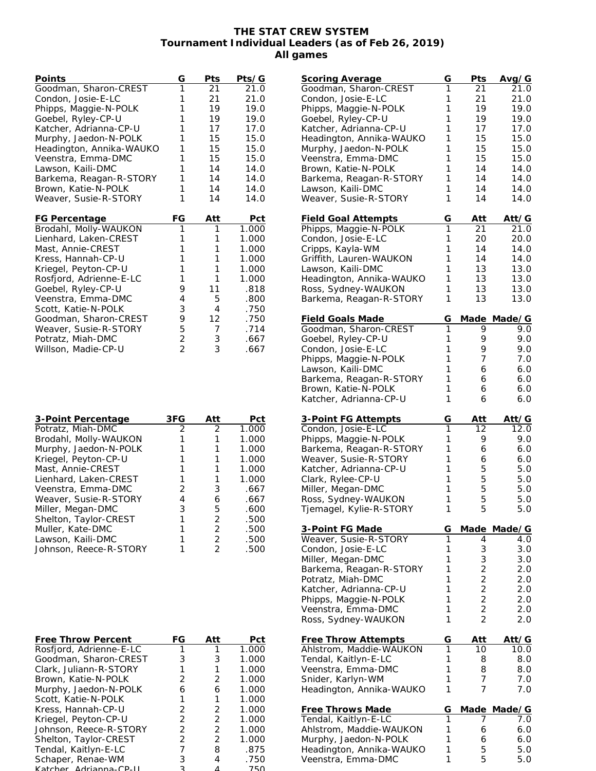## **THE STAT CREW SYSTEM Tournament Individual Leaders (as of Feb 26, 2019) All games**

| Points                                         | G                                | Pts               | Pts/G |
|------------------------------------------------|----------------------------------|-------------------|-------|
| Goodman, Sharon-CREST                          | 1                                | 21                | 21.0  |
| Condon, Josie-E-LC                             | 1                                | 21                | 21.0  |
| Phipps, Maggie-N-POLK                          | 1                                | 19                | 19.0  |
| Goebel, Ryley-CP-U                             | 1                                | 19                | 19.0  |
| Katcher, Adrianna-CP-U                         | 1                                | 17                | 17.0  |
| Murphy, Jaedon-N-POLK                          | 1                                | 15                | 15.0  |
| Headington, Annika-WAUKO                       | 1                                | 15                | 15.0  |
| Veenstra, Emma-DMC                             | 1                                | 15                | 15.0  |
| Lawson, Kaili-DMC                              | 1                                | 14                | 14.0  |
| Barkema, Reagan-R-STORY                        | 1                                | 14                | 14.0  |
| Brown, Katie-N-POLK                            | 1                                | 14                | 14.0  |
| Weaver, Susie-R-STORY                          | 1                                | 14                | 14.0  |
| FG Percentage                                  | FG                               | Att               | Pct   |
|                                                |                                  |                   |       |
|                                                | 1                                | 1                 | 1.000 |
| Brodahl, Molly-WAUKON<br>Lienhard, Laken-CREST | 1                                | 1                 | 1.000 |
| Mast, Annie-CREST                              | 1                                | 1                 | 1.000 |
| Kress, Hannah-CP-U                             | 1                                | 1                 | 1.000 |
| Kriegel, Peyton-CP-U                           | 1                                | 1                 | 1.000 |
| Rosfjord, Adrienne-E-LC                        | 1                                | 1                 | 1.000 |
| Goebel, Ryley-CP-U                             | 9                                | 11                | .818  |
| Veenstra, Emma-DMC                             | 4                                | 5                 | .800  |
| Scott, Katie-N-POLK                            | 3                                | 4                 | .750  |
| Goodman, Sharon-CREST                          | 9                                | $12 \overline{ }$ | .750  |
| Weaver, Susie-R-STORY                          | 5                                | $\overline{7}$    | .714  |
| Potratz, Miah-DMC                              | $\overline{2}$<br>$\overline{2}$ | 3                 | .667  |

| 3-Point Percentage     | 3FG           | Att           | Pct   |
|------------------------|---------------|---------------|-------|
| Potratz, Miah-DMC      | $\mathcal{P}$ | $\mathcal{P}$ | 1.000 |
| Brodahl, Molly-WAUKON  |               |               | 1.000 |
| Murphy, Jaedon-N-POLK  |               |               | 1.000 |
| Kriegel, Peyton-CP-U   |               |               | 1.000 |
| Mast, Annie-CREST      |               |               | 1.000 |
| Lienhard, Laken-CREST  |               |               | 1.000 |
| Veenstra, Emma-DMC     | 2             | 3             | .667  |
| Weaver, Susie-R-STORY  |               | 6             | .667  |
| Miller, Megan-DMC      | З             | 5             | .600  |
| Shelton, Taylor-CREST  |               | $\mathcal{P}$ | .500  |
| Muller, Kate-DMC       |               | $\mathcal{P}$ | .500  |
| Lawson, Kaili-DMC      |               | $\mathcal{P}$ | .500  |
| Johnson, Reece-R-STORY |               |               | .500  |

| Free Throw Percent      | FG            | Att           | Pct   |
|-------------------------|---------------|---------------|-------|
| Rosfjord, Adrienne-E-LC | 1             | 1             | 1.000 |
| Goodman, Sharon-CREST   | 3             | 3             | 1.000 |
| Clark, Juliann-R-STORY  |               |               | 1.000 |
| Brown, Katie-N-POLK     | 2             | 2             | 1.000 |
| Murphy, Jaedon-N-POLK   | 6             | 6             | 1.000 |
| Scott, Katie-N-POLK     | 1             | 1             | 1.000 |
| Kress, Hannah-CP-U      | 2             | 2             | 1.000 |
| Kriegel, Peyton-CP-U    | 2             | 2             | 1.000 |
| Johnson, Reece-R-STORY  | $\mathcal{P}$ | $\mathcal{P}$ | 1.000 |
| Shelton, Taylor-CREST   | 2             | $\mathcal{P}$ | 1.000 |
| Tendal, Kaitlyn-E-LC    |               | 8             | .875  |
| Schaper, Renae-WM       | З             | 4             | .750  |
| Katcher Adrianna CD II  | っ             |               | 750   |

| Scoring Average                                   | G<br>1 | Pts            | Avg/G         |
|---------------------------------------------------|--------|----------------|---------------|
| Goodman, Sharon-CREST                             | 1      | 21             | 21.0<br>21.0  |
| Condon, Josie-E-LC                                | 1      | 21             |               |
| Phipps, Maggie-N-POLK                             |        | 19             | 19.0          |
| Goebel, Ryley-CP-U                                | 1      | 19             | 19.0          |
| Katcher, Adrianna-CP-U                            | 1      | 17             | 17.0          |
| Headington, Annika-WAUKO                          | 1      | 15             | 15.0          |
| Murphy, Jaedon-N-POLK                             | 1      | 15             | 15.0          |
| Veenstra, Emma-DMC                                | 1      | 15             | 15.0          |
| Brown, Katie-N-POLK                               | 1      | 14             | 14.0          |
| Barkema, Reagan-R-STORY                           | 1      | 14             | 14.0          |
| Lawson, Kaili-DMC                                 | 1      | 14             | 14.0          |
| Weaver, Susie-R-STORY                             | 1      | 14             | 14.0          |
|                                                   |        |                |               |
| <b>Field Goal Attempts</b>                        | G      | Att            | Att/G         |
| Phipps, Maggie-N-POLK                             | 1      | 21             | 21.0          |
| Condon, Josie-E-LC                                | 1      | 20             | 20.0          |
| Cripps, Kayla-WM                                  | 1      | 14             | 14.0          |
| Griffith, Lauren-WAUKON                           | 1      | 14             | 14.0          |
| Lawson, Kaili-DMC                                 | 1      | 13             | 13.0          |
| Headington, Annika-WAUKO                          | 1      | 13             | 13.0          |
| Ross, Sydney-WAUKON                               | 1      | 13             | 13.0          |
| Barkema, Reagan-R-STORY                           | 1      | 13             | 13.0          |
|                                                   |        |                |               |
| Field Goals Made                                  | G      |                | Made Made/G   |
| Goodman, Sharon-CREST                             | 1      | 9              | 9.0           |
| Goebel, Ryley-CP-U                                | 1      | 9              | 9.0           |
| Condon, Josie-E-LC                                | 1      | 9              | 9.0           |
| Phipps, Maggie-N-POLK                             | 1      | 7              | 7.0           |
| Lawson, Kaili-DMC                                 | 1      | 6              | 6.0           |
| Barkema, Reagan-R-STORY                           | 1      | 6              | 6.0           |
| Brown, Katie-N-POLK                               | 1      | 6              | 6.0           |
|                                                   |        |                |               |
| Katcher, Adrianna-CP-U                            | 1      | 6              | 6.0           |
|                                                   |        |                |               |
| <u>3-Point FG Attempts</u>                        | G      | <u>Att</u>     | <u>Att/G</u>  |
| Condon, Josie-E-LC                                | 1      | 12             | 12.0          |
| Phipps, Maggie-N-POLK                             | 1      | 9              | 9.0           |
| Barkema, Reagan-R-STORY                           | 1      | 6              | 6.0           |
| Weaver, Susie-R-STORY                             | 1      | 6              | 6.0           |
| Katcher, Adrianna-CP-U                            | 1      | 5              | 5.0           |
| Clark, Rylee-CP-U                                 | 1      | 5              | 5.0           |
| Miller, Megan-DMC                                 | 1      | 5              | 5.0           |
| Ross, Sydney-WAUKON                               | 1      | 5              | 5.0           |
| Tjemagel, Kylie-R-STORY                           | 1      | 5              | 5.0           |
|                                                   |        |                |               |
| 3-Point FG Made                                   | G      | Made           | Made/G        |
| Weaver, Susie-R-STORY                             | 1      | 4              | 4.0           |
| Condon, Josie-E-LC                                | 1      | 3              | 3.0           |
| Miller, Megan-DMC                                 | 1      | 3              | 3.0           |
| Barkema, Reagan-R-STORY                           | 1      | $\overline{c}$ | 2.0           |
| Potratz, Miah-DMC                                 | 1      |                | 2.0           |
| Katcher, Adrianna-CP-U                            | 1      | $\frac{2}{2}$  | 2.0           |
| Phipps, Maggie-N-POLK                             | 1      | $\overline{2}$ | 2.0           |
| Veenstra, Emma-DMC                                | 1      | 2              | 2.0           |
| Ross, Sydney-WAUKON                               | 1      | 2              | 2.0           |
|                                                   |        |                |               |
| <b>Free Throw Attempts</b>                        | G      | Att            | Att⁄G         |
| Ahlstrom, Maddie-WAUKON                           | 1      | 10             | 10.0          |
| Tendal, Kaitlyn-E-LC                              | 1      | 8              | 8.0           |
| Veenstra, Emma-DMC                                | 1      | 8              | 8.0           |
| Snider, Karlyn-WM                                 | 1      | 7              | 7.0           |
| Headington, Annika-WAUKO                          | 1      | 7              | 7.0           |
|                                                   |        |                |               |
| Free Throws Made<br>Tendal, Kaitlyn-E-LC          | G<br>1 | Made           | Made/G<br>7.0 |
| Ahlstrom, Maddie-WAUKON                           | 1      | 6              | 6.0           |
|                                                   | 1      | 6              | 6.0           |
| Murphy, Jaedon-N-POLK<br>Headington, Annika-WAUKO | 1      | 5              | 5.0           |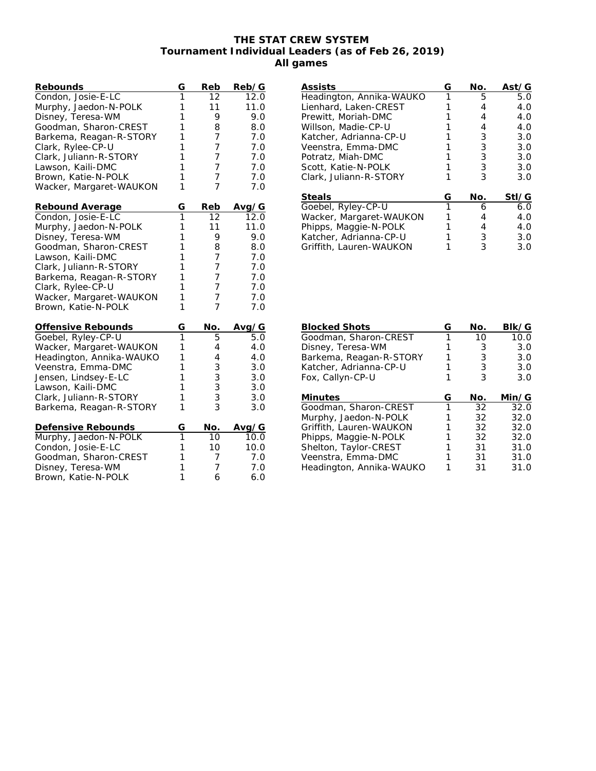## **THE STAT CREW SYSTEM Tournament Individual Leaders (as of Feb 26, 2019) All games**

| Rebounds                 | G | Reb                                            | Reb/G |
|--------------------------|---|------------------------------------------------|-------|
| Condon, Josie-E-LC       | 1 | 12                                             | 12.0  |
| Murphy, Jaedon-N-POLK    | 1 | 11                                             | 11.0  |
| Disney, Teresa-WM        | 1 | 9                                              | 9.0   |
| Goodman, Sharon-CREST    | 1 | 8                                              | 8.0   |
| Barkema, Reagan-R-STORY  | 1 | 7                                              | 7.0   |
| Clark, Rylee-CP-U        | 1 | 7                                              | 7.0   |
| Clark, Juliann-R-STORY   | 1 | 7                                              | 7.0   |
| Lawson, Kaili-DMC        | 1 | $\overline{7}$                                 | 7.0   |
| Brown, Katie-N-POLK      | 1 | 7                                              | 7.0   |
| Wacker, Margaret-WAUKON  | 1 | $\overline{7}$                                 | 7.0   |
| Rebound Average          | G | Reb                                            | Avg/G |
| Condon, Josie-E-LC       | 1 | 12                                             | 12.0  |
| Murphy, Jaedon-N-POLK    | 1 | 11                                             | 11.0  |
| Disney, Teresa-WM        | 1 | 9                                              | 9.0   |
| Goodman, Sharon-CREST    | 1 | 8                                              | 8.0   |
| Lawson, Kaili-DMC        | 1 | 7                                              | 7.0   |
| Clark, Juliann-R-STORY   | 1 | 7                                              | 7.0   |
| Barkema, Reagan-R-STORY  | 1 | 7                                              | 7.0   |
| Clark, Rylee-CP-U        | 1 | 7                                              | 7.0   |
| Wacker, Margaret-WAUKON  | 1 | 7                                              | 7.0   |
| Brown, Katie-N-POLK      | 1 | $\overline{7}$                                 | 7.0   |
| Offensive Rebounds       | G | No.                                            | Avg/G |
| Goebel, Ryley-CP-U       | 1 | 5                                              | 5.0   |
| Wacker, Margaret-WAUKON  | 1 | 4                                              | 4.0   |
| Headington, Annika-WAUKO | 1 | 4                                              | 4.0   |
| Veenstra, Emma-DMC       | 1 |                                                | 3.0   |
| Jensen, Lindsey-E-LC     | 1 | $\begin{array}{c}\n 3 \\ 3 \\ 3\n \end{array}$ | 3.0   |
| Lawson, Kaili-DMC        | 1 |                                                | 3.0   |
| Clark, Juliann-R-STORY   | 1 |                                                | 3.0   |
| Barkema, Reagan-R-STORY  | 1 |                                                | 3.0   |
| Defensive Rebounds       | G | No.                                            | Avg/G |
| Murphy, Jaedon-N-POLK    | 1 | 10                                             | 10.0  |
| Condon, Josie-E-LC       | 1 | 10                                             | 10.0  |
| Goodman, Sharon-CREST    | 1 | 7                                              | 7.0   |
| Disney, Teresa-WM        | 1 | 7                                              | 7.0   |
| Brown, Katie-N-POLK      | 1 | 6                                              | 6.0   |

| Assists                  | G | No. | Ast/G |
|--------------------------|---|-----|-------|
| Headington, Annika-WAUKO |   | 5   | 5.0   |
| Lienhard, Laken-CREST    |   | 4   | 4.0   |
| Prewitt, Moriah-DMC      |   | 4   | 4.0   |
| Willson, Madie-CP-U      |   | 4   | 4.0   |
| Katcher, Adrianna-CP-U   |   | 3   | 3.0   |
| Veenstra, Emma-DMC       |   | 3   | 3.0   |
| Potratz, Miah-DMC        |   | 3   | 3.0   |
| Scott, Katie-N-POLK      |   | 3   | 3.0   |
| Clark, Juliann-R-STORY   |   | 3   | 3.0   |
| <b>Steals</b>            | G | No. | Stl/G |
| Goebel, Ryley-CP-U       | 1 | 6   | 6.0   |
| Wacker, Margaret-WAUKON  |   | 4   | 4.0   |
| Phipps, Maggie-N-POLK    |   | 4   | 4.0   |
| Katcher, Adrianna-CP-U   |   | 3   | 3.0   |
| Griffith, Lauren-WAUKON  |   | 3   | 3.0   |

| <b>Blocked Shots</b>     | G | No. | BIk/G |
|--------------------------|---|-----|-------|
| Goodman, Sharon-CREST    |   | 10  | 10.0  |
| Disney, Teresa-WM        |   | 3   | 3.0   |
| Barkema, Reagan-R-STORY  |   | 3   | 3.0   |
| Katcher, Adrianna-CP-U   |   | 3   | 3.0   |
| Fox, Callyn-CP-U         |   | 3   | 3.0   |
| Minutes                  | G | No. | Min/G |
| Goodman, Sharon-CREST    | 1 | 32  | 32.0  |
| Murphy, Jaedon-N-POLK    |   | 32  | 32.0  |
| Griffith, Lauren-WAUKON  |   | 32  | 32.0  |
| Phipps, Maggie-N-POLK    |   | 32  | 32.0  |
| Shelton, Taylor-CREST    |   | 31  | 31.0  |
| Veenstra, Emma-DMC       |   | 31  | 31.0  |
| Headington, Annika-WAUKO |   | 31  | 31.0  |